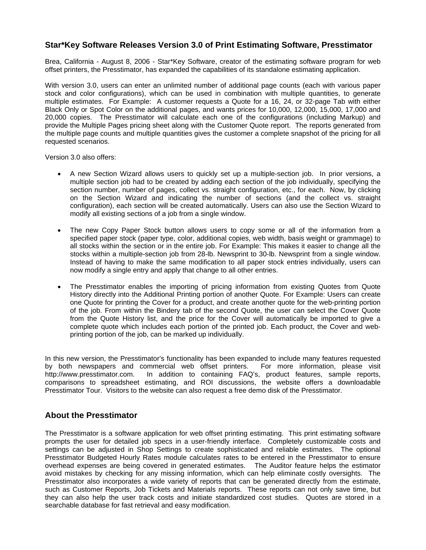## **Star\*Key Software Releases Version 3.0 of Print Estimating Software, Presstimator**

Brea, California - August 8, 2006 - Star\*Key Software, creator of the estimating software program for web offset printers, the Presstimator, has expanded the capabilities of its standalone estimating application.

With version 3.0, users can enter an unlimited number of additional page counts (each with various paper stock and color configurations), which can be used in combination with multiple quantities, to generate multiple estimates. For Example: A customer requests a Quote for a 16, 24, or 32-page Tab with either Black Only or Spot Color on the additional pages, and wants prices for 10,000, 12,000, 15,000, 17,000 and 20,000 copies. The Presstimator will calculate each one of the configurations (including Markup) and provide the Multiple Pages pricing sheet along with the Customer Quote report. The reports generated from the multiple page counts and multiple quantities gives the customer a complete snapshot of the pricing for all requested scenarios.

Version 3.0 also offers:

- A new Section Wizard allows users to quickly set up a multiple-section job. In prior versions, a multiple section job had to be created by adding each section of the job individually, specifying the section number, number of pages, collect vs. straight configuration, etc., for each. Now, by clicking on the Section Wizard and indicating the number of sections (and the collect vs. straight configuration), each section will be created automatically. Users can also use the Section Wizard to modify all existing sections of a job from a single window.
- The new Copy Paper Stock button allows users to copy some or all of the information from a specified paper stock (paper type, color, additional copies, web width, basis weight or grammage) to all stocks within the section or in the entire job. For Example: This makes it easier to change all the stocks within a multiple-section job from 28-lb. Newsprint to 30-lb. Newsprint from a single window. Instead of having to make the same modification to all paper stock entries individually, users can now modify a single entry and apply that change to all other entries.
- The Presstimator enables the importing of pricing information from existing Quotes from Quote History directly into the Additional Printing portion of another Quote. For Example: Users can create one Quote for printing the Cover for a product, and create another quote for the web-printing portion of the job. From within the Bindery tab of the second Quote, the user can select the Cover Quote from the Quote History list, and the price for the Cover will automatically be imported to give a complete quote which includes each portion of the printed job. Each product, the Cover and webprinting portion of the job, can be marked up individually.

In this new version, the Presstimator's functionality has been expanded to include many features requested by both newspapers and commercial web offset printers. For more information, please visit http://www.presstimator.com. In addition to containing FAQ's, product features, sample reports, comparisons to spreadsheet estimating, and ROI discussions, the website offers a downloadable Presstimator Tour. Visitors to the website can also request a free demo disk of the Presstimator.

## **About the Presstimator**

The Presstimator is a software application for web offset printing estimating. This print estimating software prompts the user for detailed job specs in a user-friendly interface. Completely customizable costs and settings can be adjusted in Shop Settings to create sophisticated and reliable estimates. The optional Presstimator Budgeted Hourly Rates module calculates rates to be entered in the Presstimator to ensure overhead expenses are being covered in generated estimates. The Auditor feature helps the estimator avoid mistakes by checking for any missing information, which can help eliminate costly oversights. The Presstimator also incorporates a wide variety of reports that can be generated directly from the estimate, such as Customer Reports, Job Tickets and Materials reports. These reports can not only save time, but they can also help the user track costs and initiate standardized cost studies. Quotes are stored in a searchable database for fast retrieval and easy modification.